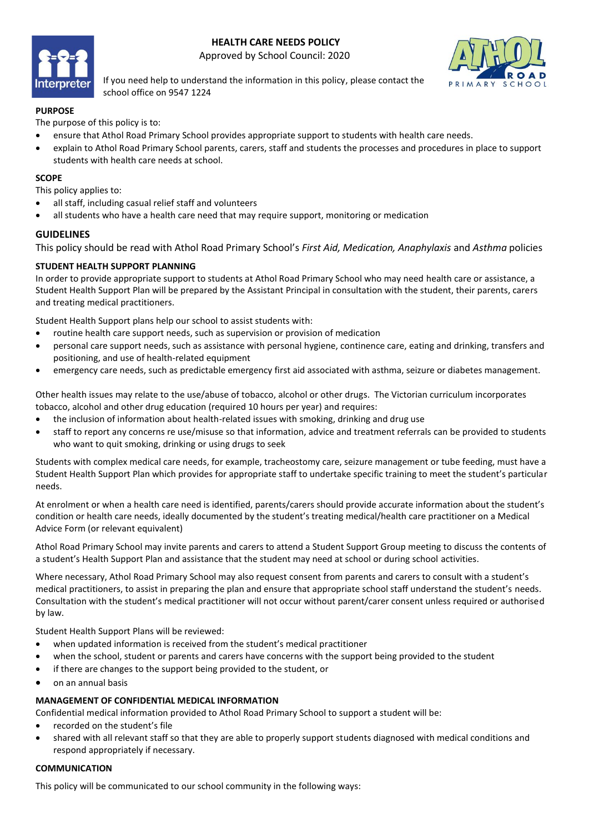# **HEALTH CARE NEEDS POLICY**



Approved by School Council: 2020



If you need help to understand the information in this policy, please contact the school office on 9547 1224

# **PURPOSE**

The purpose of this policy is to:

- ensure that Athol Road Primary School provides appropriate support to students with health care needs.
- explain to Athol Road Primary School parents, carers, staff and students the processes and procedures in place to support students with health care needs at school.

## **SCOPE**

This policy applies to:

- all staff, including casual relief staff and volunteers
- all students who have a health care need that may require support, monitoring or medication

## **GUIDELINES**

This policy should be read with Athol Road Primary School's *First Aid, Medication, Anaphylaxis* and *Asthma* policies

## **STUDENT HEALTH SUPPORT PLANNING**

In order to provide appropriate support to students at Athol Road Primary School who may need health care or assistance, a Student Health Support Plan will be prepared by the Assistant Principal in consultation with the student, their parents, carers and treating medical practitioners.

Student Health Support plans help our school to assist students with:

- routine health care support needs, such as supervision or provision of medication
- personal care support needs, such as assistance with personal hygiene, continence care, eating and drinking, transfers and positioning, and use of health-related equipment
- emergency care needs, such as predictable emergency first aid associated with asthma, seizure or diabetes management.

Other health issues may relate to the use/abuse of tobacco, alcohol or other drugs. The Victorian curriculum incorporates tobacco, alcohol and other drug education (required 10 hours per year) and requires:

- the inclusion of information about health-related issues with smoking, drinking and drug use
- staff to report any concerns re use/misuse so that information, advice and treatment referrals can be provided to students who want to quit smoking, drinking or using drugs to seek

Students with complex medical care needs, for example, tracheostomy care, seizure management or tube feeding, must have a Student Health Support Plan which provides for appropriate staff to undertake specific training to meet the student's particular needs.

At enrolment or when a health care need is identified, parents/carers should provide accurate information about the student's condition or health care needs, ideally documented by the student's treating medical/health care practitioner on a Medical Advice Form (or relevant equivalent)

Athol Road Primary School may invite parents and carers to attend a Student Support Group meeting to discuss the contents of a student's Health Support Plan and assistance that the student may need at school or during school activities.

Where necessary, Athol Road Primary School may also request consent from parents and carers to consult with a student's medical practitioners, to assist in preparing the plan and ensure that appropriate school staff understand the student's needs. Consultation with the student's medical practitioner will not occur without parent/carer consent unless required or authorised by law.

Student Health Support Plans will be reviewed:

- when updated information is received from the student's medical practitioner
- when the school, student or parents and carers have concerns with the support being provided to the student
- if there are changes to the support being provided to the student, or
- on an annual basis

#### **MANAGEMENT OF CONFIDENTIAL MEDICAL INFORMATION**

Confidential medical information provided to Athol Road Primary School to support a student will be:

- recorded on the student's file
- shared with all relevant staff so that they are able to properly support students diagnosed with medical conditions and respond appropriately if necessary.

#### **COMMUNICATION**

This policy will be communicated to our school community in the following ways: